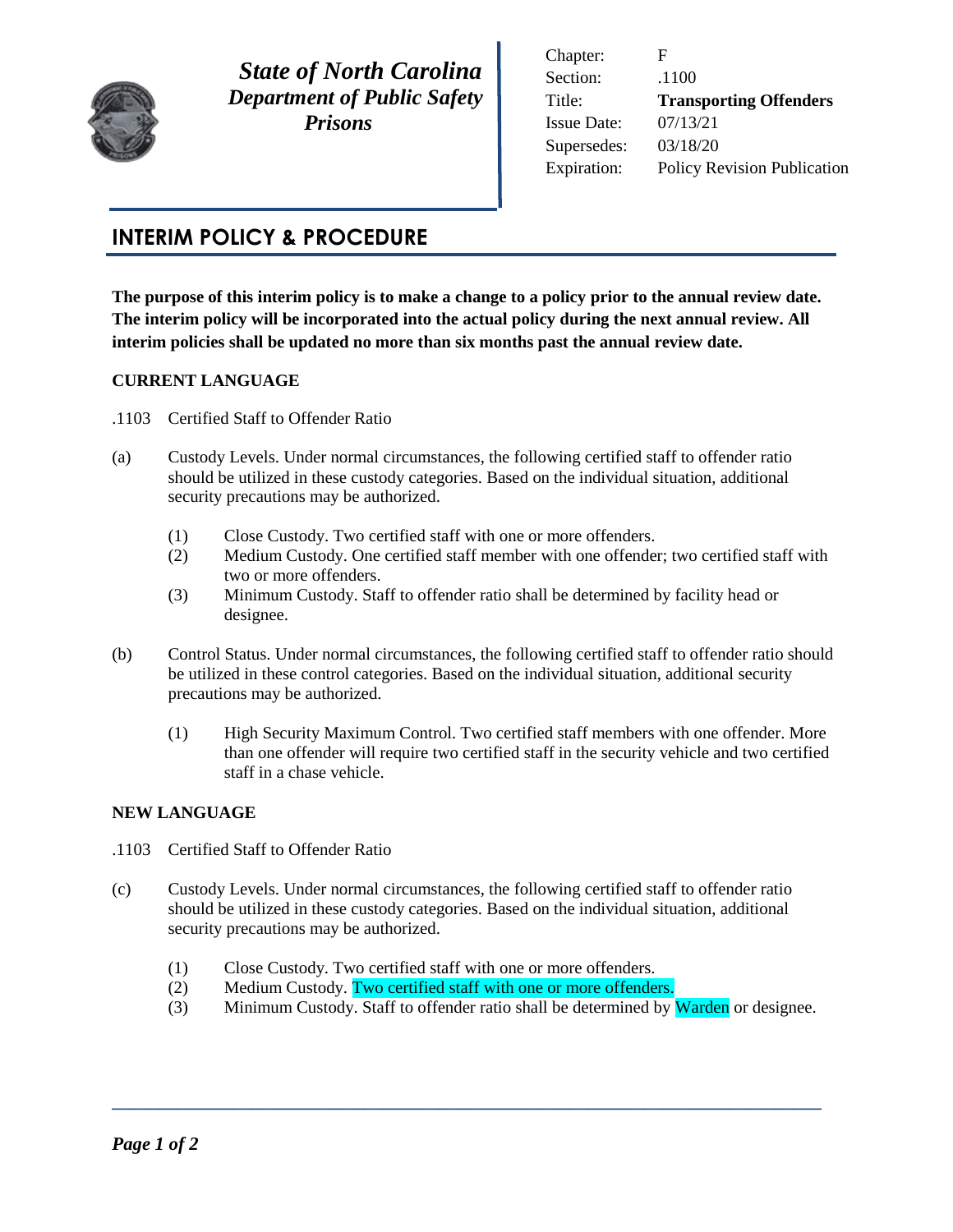

 *State of North Carolina Department of Public Safety Prisons* 

Chapter: F Section: .1100 Title: **Transporting Offenders** Issue Date: 07/13/21 Supersedes: 03/18/20 Expiration: Policy Revision Publication

# **INTERIM POLICY & PROCEDURE**

**The purpose of this interim policy is to make a change to a policy prior to the annual review date. The interim policy will be incorporated into the actual policy during the next annual review. All interim policies shall be updated no more than six months past the annual review date.** 

# **CURRENT LANGUAGE**

- .1103 Certified Staff to Offender Ratio
- (a) Custody Levels. Under normal circumstances, the following certified staff to offender ratio should be utilized in these custody categories. Based on the individual situation, additional security precautions may be authorized.
	- (1) Close Custody. Two certified staff with one or more offenders.
	- (2) Medium Custody. One certified staff member with one offender; two certified staff with two or more offenders.
	- (3) Minimum Custody. Staff to offender ratio shall be determined by facility head or designee.
- (b) Control Status. Under normal circumstances, the following certified staff to offender ratio should be utilized in these control categories. Based on the individual situation, additional security precautions may be authorized.
	- (1) High Security Maximum Control. Two certified staff members with one offender. More than one offender will require two certified staff in the security vehicle and two certified staff in a chase vehicle.

# **NEW LANGUAGE**

- .1103 Certified Staff to Offender Ratio
- (c) Custody Levels. Under normal circumstances, the following certified staff to offender ratio should be utilized in these custody categories. Based on the individual situation, additional security precautions may be authorized.
	- (1) Close Custody. Two certified staff with one or more offenders.
	- (2) Medium Custody. Two certified staff with one or more offenders.
	- (3) Minimum Custody. Staff to offender ratio shall be determined by **Warden** or designee.

**\_\_\_\_\_\_\_\_\_\_\_\_\_\_\_\_\_\_\_\_\_\_\_\_\_\_\_\_\_\_\_\_\_\_\_\_\_\_\_\_\_\_\_\_\_\_\_\_\_\_\_\_\_\_\_\_\_\_\_\_\_\_\_\_\_\_\_\_\_\_\_\_\_\_\_\_**